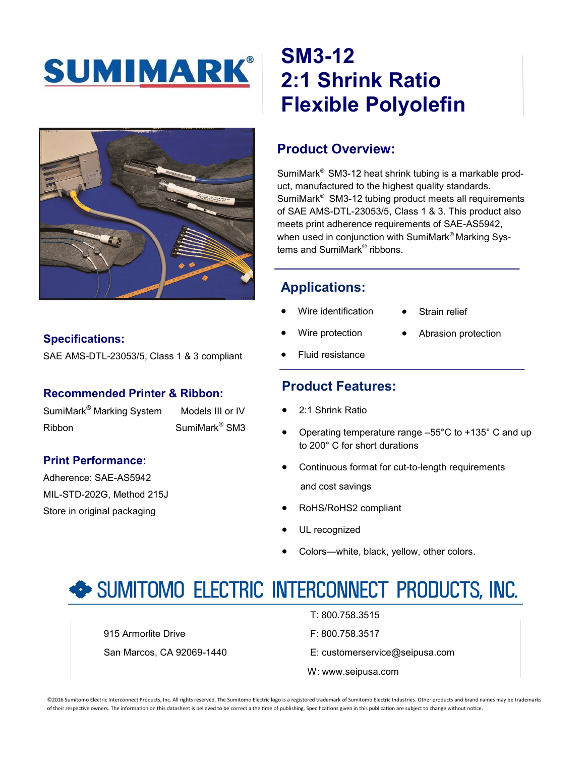



#### **Specifications:**

SAE AMS-DTL-23053/5, Class 1 & 3 compliant

#### **Recommended Printer & Ribbon:**

SumiMark<sup>®</sup> Marking System Models III or IV Ribbon SumiMark® SM3

#### **Print Performance:**

Adherence: SAE-AS5942 MIL-STD-202G, Method 215J Store in original packaging

# **SM3-12 2:1 Shrink Ratio Flexible Polyolefin**

## **Product Overview:**

SumiMark® SM3-12 heat shrink tubing is a markable product, manufactured to the highest quality standards. SumiMark® SM3-12 tubing product meets all requirements of SAE AMS-DTL-23053/5, Class 1 & 3. This product also meets print adherence requirements of SAE-AS5942, when used in conjunction with SumiMark® Marking Systems and SumiMark® ribbons.

## **Applications:**

- Wire identification
- Strain relief
- Wire protection
- Abrasion protection
- Fluid resistance

### **Product Features:**

- 2:1 Shrink Ratio
- Operating temperature range –55°C to +135° C and up to 200° C for short durations
- Continuous format for cut-to-length requirements and cost savings
- RoHS/RoHS2 compliant
- UL recognized
- Colors—white, black, yellow, other colors.

# SUMITOMO ELECTRIC INTERCONNECT PRODUCTS, INC.

915 Armorlite Drive **F: 800.758.3517** San Marcos, CA 92069-1440 E: customerservice@seipusa.com

- T: 800.758.3515
- W: www.seipusa.com

©2016 Sumitomo Electric Interconnect Products, Inc. All rights reserved. The Sumitomo Electric logo is a registered trademark of Sumitomo Electric Industries. Other products and brand names may be trademarks of their respective owners. The information on this datasheet is believed to be correct a the time of publishing. Specifications given in this publication are subject to change without notice.